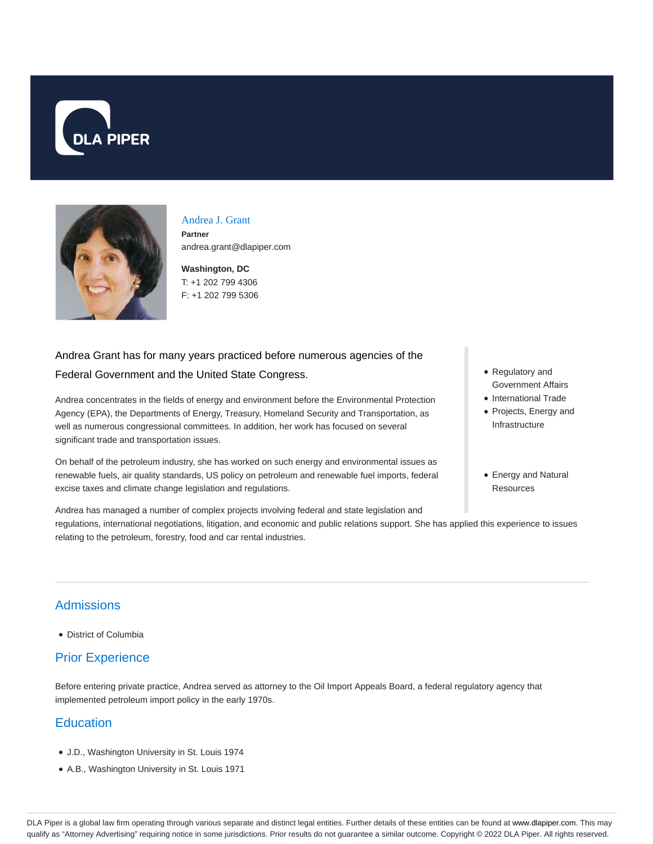



# Andrea J. Grant

**Partner** andrea.grant@dlapiper.com

**Washington, DC** T: +1 202 799 4306 F: +1 202 799 5306

## Andrea Grant has for many years practiced before numerous agencies of the Federal Government and the United State Congress.

Andrea concentrates in the fields of energy and environment before the Environmental Protection Agency (EPA), the Departments of Energy, Treasury, Homeland Security and Transportation, as well as numerous congressional committees. In addition, her work has focused on several significant trade and transportation issues.

On behalf of the petroleum industry, she has worked on such energy and environmental issues as renewable fuels, air quality standards, US policy on petroleum and renewable fuel imports, federal excise taxes and climate change legislation and regulations.

- Regulatory and Government Affairs
- International Trade
- Projects, Energy and Infrastructure
- Energy and Natural **Resources**

Andrea has managed a number of complex projects involving federal and state legislation and regulations, international negotiations, litigation, and economic and public relations support. She has applied this experience to issues relating to the petroleum, forestry, food and car rental industries.

### **Admissions**

District of Columbia

### Prior Experience

Before entering private practice, Andrea served as attorney to the Oil Import Appeals Board, a federal regulatory agency that implemented petroleum import policy in the early 1970s.

### **Education**

- J.D., Washington University in St. Louis 1974
- A.B., Washington University in St. Louis 1971